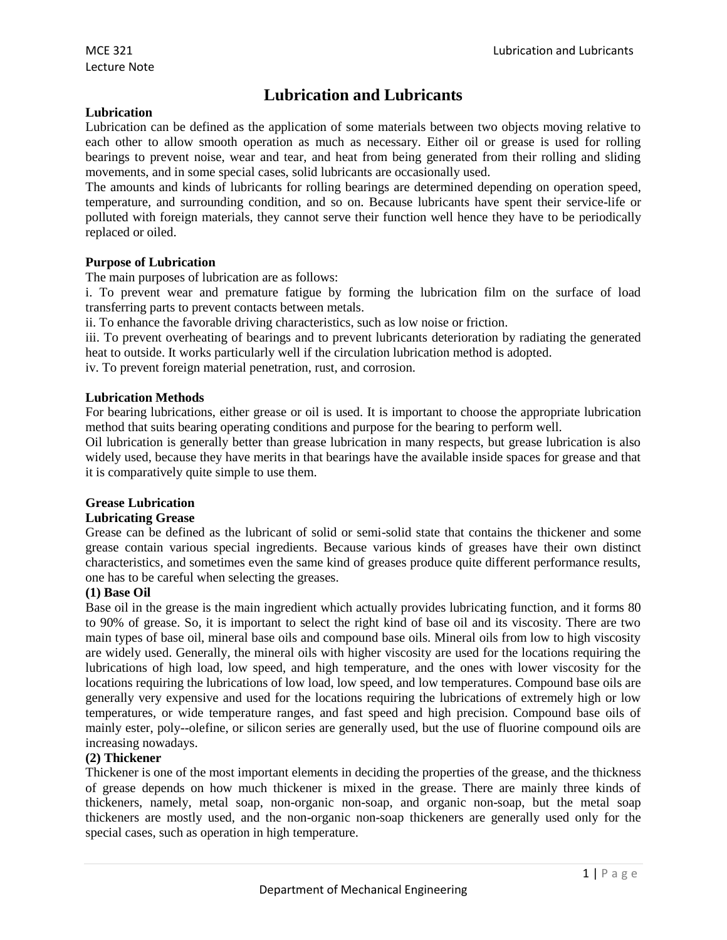# **Lubrication and Lubricants**

# **Lubrication**

Lubrication can be defined as the application of some materials between two objects moving relative to each other to allow smooth operation as much as necessary. Either oil or grease is used for rolling bearings to prevent noise, wear and tear, and heat from being generated from their rolling and sliding movements, and in some special cases, solid lubricants are occasionally used.

The amounts and kinds of lubricants for rolling bearings are determined depending on operation speed, temperature, and surrounding condition, and so on. Because lubricants have spent their service-life or polluted with foreign materials, they cannot serve their function well hence they have to be periodically replaced or oiled.

# **Purpose of Lubrication**

The main purposes of lubrication are as follows:

i. To prevent wear and premature fatigue by forming the lubrication film on the surface of load transferring parts to prevent contacts between metals.

ii. To enhance the favorable driving characteristics, such as low noise or friction.

iii. To prevent overheating of bearings and to prevent lubricants deterioration by radiating the generated heat to outside. It works particularly well if the circulation lubrication method is adopted.

iv. To prevent foreign material penetration, rust, and corrosion.

# **Lubrication Methods**

For bearing lubrications, either grease or oil is used. It is important to choose the appropriate lubrication method that suits bearing operating conditions and purpose for the bearing to perform well.

Oil lubrication is generally better than grease lubrication in many respects, but grease lubrication is also widely used, because they have merits in that bearings have the available inside spaces for grease and that it is comparatively quite simple to use them.

# **Grease Lubrication**

# **Lubricating Grease**

Grease can be defined as the lubricant of solid or semi-solid state that contains the thickener and some grease contain various special ingredients. Because various kinds of greases have their own distinct characteristics, and sometimes even the same kind of greases produce quite different performance results, one has to be careful when selecting the greases.

# **(1) Base Oil**

Base oil in the grease is the main ingredient which actually provides lubricating function, and it forms 80 to 90% of grease. So, it is important to select the right kind of base oil and its viscosity. There are two main types of base oil, mineral base oils and compound base oils. Mineral oils from low to high viscosity are widely used. Generally, the mineral oils with higher viscosity are used for the locations requiring the lubrications of high load, low speed, and high temperature, and the ones with lower viscosity for the locations requiring the lubrications of low load, low speed, and low temperatures. Compound base oils are generally very expensive and used for the locations requiring the lubrications of extremely high or low temperatures, or wide temperature ranges, and fast speed and high precision. Compound base oils of mainly ester, poly--olefine, or silicon series are generally used, but the use of fluorine compound oils are increasing nowadays.

# **(2) Thickener**

Thickener is one of the most important elements in deciding the properties of the grease, and the thickness of grease depends on how much thickener is mixed in the grease. There are mainly three kinds of thickeners, namely, metal soap, non-organic non-soap, and organic non-soap, but the metal soap thickeners are mostly used, and the non-organic non-soap thickeners are generally used only for the special cases, such as operation in high temperature.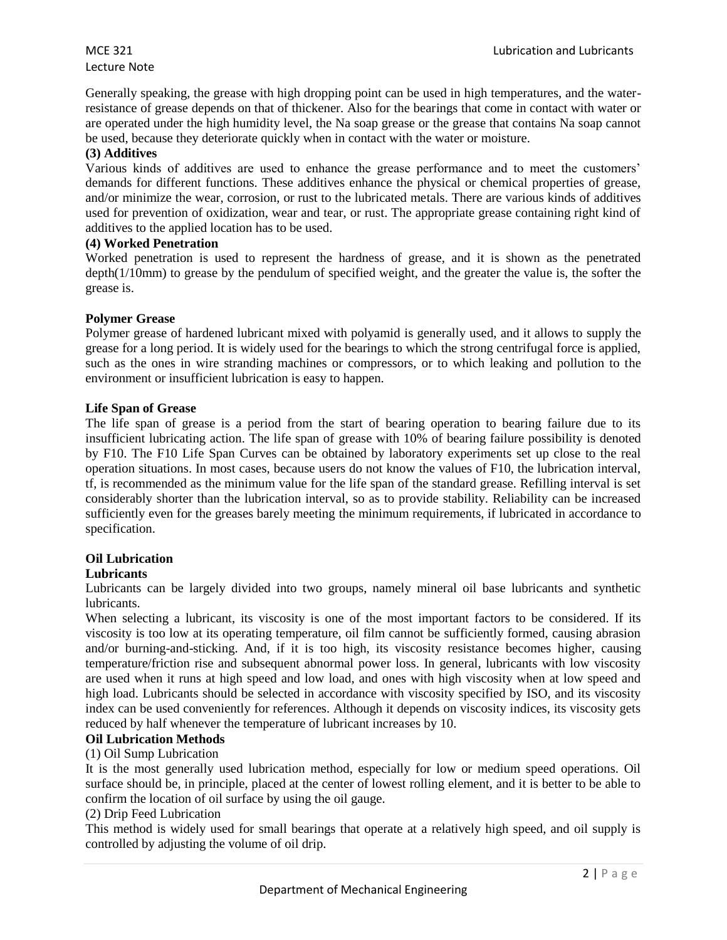# Lecture Note

Generally speaking, the grease with high dropping point can be used in high temperatures, and the waterresistance of grease depends on that of thickener. Also for the bearings that come in contact with water or are operated under the high humidity level, the Na soap grease or the grease that contains Na soap cannot be used, because they deteriorate quickly when in contact with the water or moisture.

# **(3) Additives**

Various kinds of additives are used to enhance the grease performance and to meet the customers' demands for different functions. These additives enhance the physical or chemical properties of grease, and/or minimize the wear, corrosion, or rust to the lubricated metals. There are various kinds of additives used for prevention of oxidization, wear and tear, or rust. The appropriate grease containing right kind of additives to the applied location has to be used.

# **(4) Worked Penetration**

Worked penetration is used to represent the hardness of grease, and it is shown as the penetrated depth(1/10mm) to grease by the pendulum of specified weight, and the greater the value is, the softer the grease is.

# **Polymer Grease**

Polymer grease of hardened lubricant mixed with polyamid is generally used, and it allows to supply the grease for a long period. It is widely used for the bearings to which the strong centrifugal force is applied, such as the ones in wire stranding machines or compressors, or to which leaking and pollution to the environment or insufficient lubrication is easy to happen.

# **Life Span of Grease**

The life span of grease is a period from the start of bearing operation to bearing failure due to its insufficient lubricating action. The life span of grease with 10% of bearing failure possibility is denoted by F10. The F10 Life Span Curves can be obtained by laboratory experiments set up close to the real operation situations. In most cases, because users do not know the values of F10, the lubrication interval, tf, is recommended as the minimum value for the life span of the standard grease. Refilling interval is set considerably shorter than the lubrication interval, so as to provide stability. Reliability can be increased sufficiently even for the greases barely meeting the minimum requirements, if lubricated in accordance to specification.

# **Oil Lubrication**

# **Lubricants**

Lubricants can be largely divided into two groups, namely mineral oil base lubricants and synthetic lubricants.

When selecting a lubricant, its viscosity is one of the most important factors to be considered. If its viscosity is too low at its operating temperature, oil film cannot be sufficiently formed, causing abrasion and/or burning-and-sticking. And, if it is too high, its viscosity resistance becomes higher, causing temperature/friction rise and subsequent abnormal power loss. In general, lubricants with low viscosity are used when it runs at high speed and low load, and ones with high viscosity when at low speed and high load. Lubricants should be selected in accordance with viscosity specified by ISO, and its viscosity index can be used conveniently for references. Although it depends on viscosity indices, its viscosity gets reduced by half whenever the temperature of lubricant increases by 10.

# **Oil Lubrication Methods**

# (1) Oil Sump Lubrication

It is the most generally used lubrication method, especially for low or medium speed operations. Oil surface should be, in principle, placed at the center of lowest rolling element, and it is better to be able to confirm the location of oil surface by using the oil gauge.

# (2) Drip Feed Lubrication

This method is widely used for small bearings that operate at a relatively high speed, and oil supply is controlled by adjusting the volume of oil drip.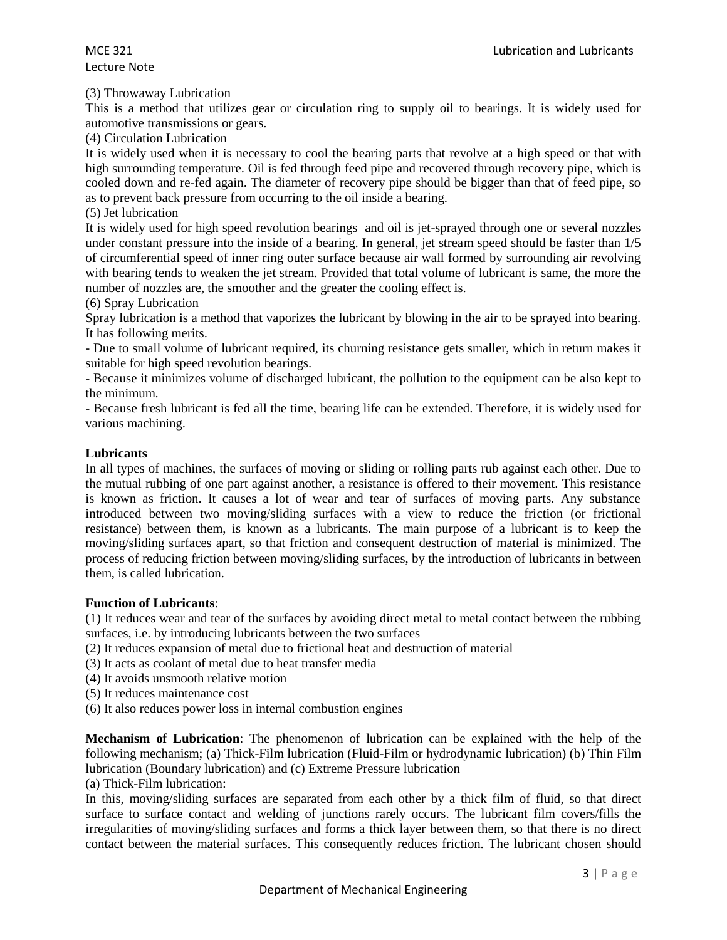#### (3) Throwaway Lubrication

This is a method that utilizes gear or circulation ring to supply oil to bearings. It is widely used for automotive transmissions or gears.

(4) Circulation Lubrication

It is widely used when it is necessary to cool the bearing parts that revolve at a high speed or that with high surrounding temperature. Oil is fed through feed pipe and recovered through recovery pipe, which is cooled down and re-fed again. The diameter of recovery pipe should be bigger than that of feed pipe, so as to prevent back pressure from occurring to the oil inside a bearing.

(5) Jet lubrication

It is widely used for high speed revolution bearings and oil is jet-sprayed through one or several nozzles under constant pressure into the inside of a bearing. In general, jet stream speed should be faster than 1/5 of circumferential speed of inner ring outer surface because air wall formed by surrounding air revolving with bearing tends to weaken the jet stream. Provided that total volume of lubricant is same, the more the number of nozzles are, the smoother and the greater the cooling effect is.

(6) Spray Lubrication

Spray lubrication is a method that vaporizes the lubricant by blowing in the air to be sprayed into bearing. It has following merits.

- Due to small volume of lubricant required, its churning resistance gets smaller, which in return makes it suitable for high speed revolution bearings.

- Because it minimizes volume of discharged lubricant, the pollution to the equipment can be also kept to the minimum.

- Because fresh lubricant is fed all the time, bearing life can be extended. Therefore, it is widely used for various machining.

#### **Lubricants**

In all types of machines, the surfaces of moving or sliding or rolling parts rub against each other. Due to the mutual rubbing of one part against another, a resistance is offered to their movement. This resistance is known as friction. It causes a lot of wear and tear of surfaces of moving parts. Any substance introduced between two moving/sliding surfaces with a view to reduce the friction (or frictional resistance) between them, is known as a lubricants. The main purpose of a lubricant is to keep the moving/sliding surfaces apart, so that friction and consequent destruction of material is minimized. The process of reducing friction between moving/sliding surfaces, by the introduction of lubricants in between them, is called lubrication.

# **Function of Lubricants**:

(1) It reduces wear and tear of the surfaces by avoiding direct metal to metal contact between the rubbing surfaces, i.e. by introducing lubricants between the two surfaces

(2) It reduces expansion of metal due to frictional heat and destruction of material

- (3) It acts as coolant of metal due to heat transfer media
- (4) It avoids unsmooth relative motion
- (5) It reduces maintenance cost
- (6) It also reduces power loss in internal combustion engines

**Mechanism of Lubrication**: The phenomenon of lubrication can be explained with the help of the following mechanism; (a) Thick-Film lubrication (Fluid-Film or hydrodynamic lubrication) (b) Thin Film lubrication (Boundary lubrication) and (c) Extreme Pressure lubrication

(a) Thick-Film lubrication:

In this, moving/sliding surfaces are separated from each other by a thick film of fluid, so that direct surface to surface contact and welding of junctions rarely occurs. The lubricant film covers/fills the irregularities of moving/sliding surfaces and forms a thick layer between them, so that there is no direct contact between the material surfaces. This consequently reduces friction. The lubricant chosen should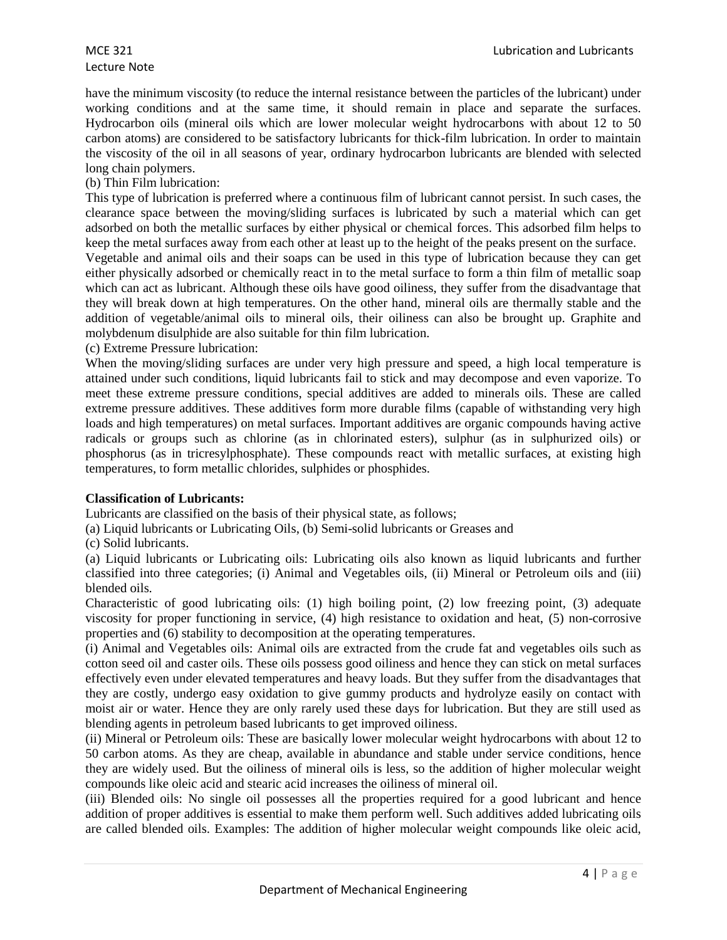# Lecture Note

have the minimum viscosity (to reduce the internal resistance between the particles of the lubricant) under working conditions and at the same time, it should remain in place and separate the surfaces. Hydrocarbon oils (mineral oils which are lower molecular weight hydrocarbons with about 12 to 50 carbon atoms) are considered to be satisfactory lubricants for thick-film lubrication. In order to maintain the viscosity of the oil in all seasons of year, ordinary hydrocarbon lubricants are blended with selected long chain polymers.

# (b) Thin Film lubrication:

This type of lubrication is preferred where a continuous film of lubricant cannot persist. In such cases, the clearance space between the moving/sliding surfaces is lubricated by such a material which can get adsorbed on both the metallic surfaces by either physical or chemical forces. This adsorbed film helps to keep the metal surfaces away from each other at least up to the height of the peaks present on the surface.

Vegetable and animal oils and their soaps can be used in this type of lubrication because they can get either physically adsorbed or chemically react in to the metal surface to form a thin film of metallic soap which can act as lubricant. Although these oils have good oiliness, they suffer from the disadvantage that they will break down at high temperatures. On the other hand, mineral oils are thermally stable and the addition of vegetable/animal oils to mineral oils, their oiliness can also be brought up. Graphite and molybdenum disulphide are also suitable for thin film lubrication.

(c) Extreme Pressure lubrication:

When the moving/sliding surfaces are under very high pressure and speed, a high local temperature is attained under such conditions, liquid lubricants fail to stick and may decompose and even vaporize. To meet these extreme pressure conditions, special additives are added to minerals oils. These are called extreme pressure additives. These additives form more durable films (capable of withstanding very high loads and high temperatures) on metal surfaces. Important additives are organic compounds having active radicals or groups such as chlorine (as in chlorinated esters), sulphur (as in sulphurized oils) or phosphorus (as in tricresylphosphate). These compounds react with metallic surfaces, at existing high temperatures, to form metallic chlorides, sulphides or phosphides.

# **Classification of Lubricants:**

Lubricants are classified on the basis of their physical state, as follows;

(a) Liquid lubricants or Lubricating Oils, (b) Semi-solid lubricants or Greases and

(c) Solid lubricants.

(a) Liquid lubricants or Lubricating oils: Lubricating oils also known as liquid lubricants and further classified into three categories; (i) Animal and Vegetables oils, (ii) Mineral or Petroleum oils and (iii) blended oils.

Characteristic of good lubricating oils: (1) high boiling point, (2) low freezing point, (3) adequate viscosity for proper functioning in service, (4) high resistance to oxidation and heat, (5) non-corrosive properties and (6) stability to decomposition at the operating temperatures.

(i) Animal and Vegetables oils: Animal oils are extracted from the crude fat and vegetables oils such as cotton seed oil and caster oils. These oils possess good oiliness and hence they can stick on metal surfaces effectively even under elevated temperatures and heavy loads. But they suffer from the disadvantages that they are costly, undergo easy oxidation to give gummy products and hydrolyze easily on contact with moist air or water. Hence they are only rarely used these days for lubrication. But they are still used as blending agents in petroleum based lubricants to get improved oiliness.

(ii) Mineral or Petroleum oils: These are basically lower molecular weight hydrocarbons with about 12 to 50 carbon atoms. As they are cheap, available in abundance and stable under service conditions, hence they are widely used. But the oiliness of mineral oils is less, so the addition of higher molecular weight compounds like oleic acid and stearic acid increases the oiliness of mineral oil.

(iii) Blended oils: No single oil possesses all the properties required for a good lubricant and hence addition of proper additives is essential to make them perform well. Such additives added lubricating oils are called blended oils. Examples: The addition of higher molecular weight compounds like oleic acid,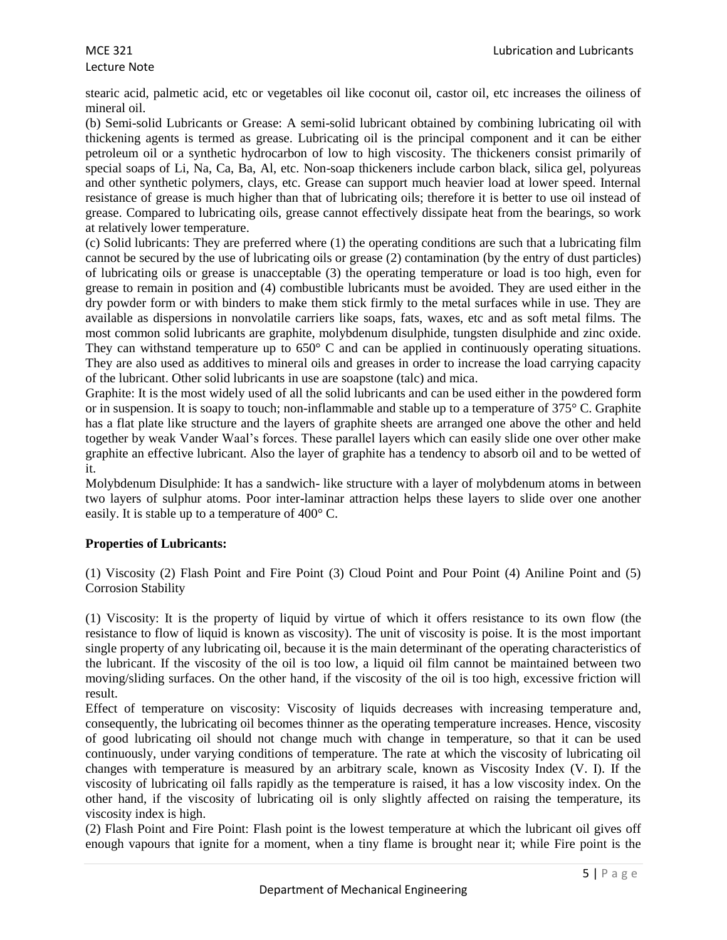# Lecture Note

stearic acid, palmetic acid, etc or vegetables oil like coconut oil, castor oil, etc increases the oiliness of mineral oil.

(b) Semi-solid Lubricants or Grease: A semi-solid lubricant obtained by combining lubricating oil with thickening agents is termed as grease. Lubricating oil is the principal component and it can be either petroleum oil or a synthetic hydrocarbon of low to high viscosity. The thickeners consist primarily of special soaps of Li, Na, Ca, Ba, Al, etc. Non-soap thickeners include carbon black, silica gel, polyureas and other synthetic polymers, clays, etc. Grease can support much heavier load at lower speed. Internal resistance of grease is much higher than that of lubricating oils; therefore it is better to use oil instead of grease. Compared to lubricating oils, grease cannot effectively dissipate heat from the bearings, so work at relatively lower temperature.

(c) Solid lubricants: They are preferred where (1) the operating conditions are such that a lubricating film cannot be secured by the use of lubricating oils or grease (2) contamination (by the entry of dust particles) of lubricating oils or grease is unacceptable (3) the operating temperature or load is too high, even for grease to remain in position and (4) combustible lubricants must be avoided. They are used either in the dry powder form or with binders to make them stick firmly to the metal surfaces while in use. They are available as dispersions in nonvolatile carriers like soaps, fats, waxes, etc and as soft metal films. The most common solid lubricants are graphite, molybdenum disulphide, tungsten disulphide and zinc oxide. They can withstand temperature up to 650° C and can be applied in continuously operating situations. They are also used as additives to mineral oils and greases in order to increase the load carrying capacity of the lubricant. Other solid lubricants in use are soapstone (talc) and mica.

Graphite: It is the most widely used of all the solid lubricants and can be used either in the powdered form or in suspension. It is soapy to touch; non-inflammable and stable up to a temperature of 375° C. Graphite has a flat plate like structure and the layers of graphite sheets are arranged one above the other and held together by weak Vander Waal's forces. These parallel layers which can easily slide one over other make graphite an effective lubricant. Also the layer of graphite has a tendency to absorb oil and to be wetted of it.

Molybdenum Disulphide: It has a sandwich- like structure with a layer of molybdenum atoms in between two layers of sulphur atoms. Poor inter-laminar attraction helps these layers to slide over one another easily. It is stable up to a temperature of 400° C.

# **Properties of Lubricants:**

(1) Viscosity (2) Flash Point and Fire Point (3) Cloud Point and Pour Point (4) Aniline Point and (5) Corrosion Stability

(1) Viscosity: It is the property of liquid by virtue of which it offers resistance to its own flow (the resistance to flow of liquid is known as viscosity). The unit of viscosity is poise. It is the most important single property of any lubricating oil, because it is the main determinant of the operating characteristics of the lubricant. If the viscosity of the oil is too low, a liquid oil film cannot be maintained between two moving/sliding surfaces. On the other hand, if the viscosity of the oil is too high, excessive friction will result.

Effect of temperature on viscosity: Viscosity of liquids decreases with increasing temperature and, consequently, the lubricating oil becomes thinner as the operating temperature increases. Hence, viscosity of good lubricating oil should not change much with change in temperature, so that it can be used continuously, under varying conditions of temperature. The rate at which the viscosity of lubricating oil changes with temperature is measured by an arbitrary scale, known as Viscosity Index (V. I). If the viscosity of lubricating oil falls rapidly as the temperature is raised, it has a low viscosity index. On the other hand, if the viscosity of lubricating oil is only slightly affected on raising the temperature, its viscosity index is high.

(2) Flash Point and Fire Point: Flash point is the lowest temperature at which the lubricant oil gives off enough vapours that ignite for a moment, when a tiny flame is brought near it; while Fire point is the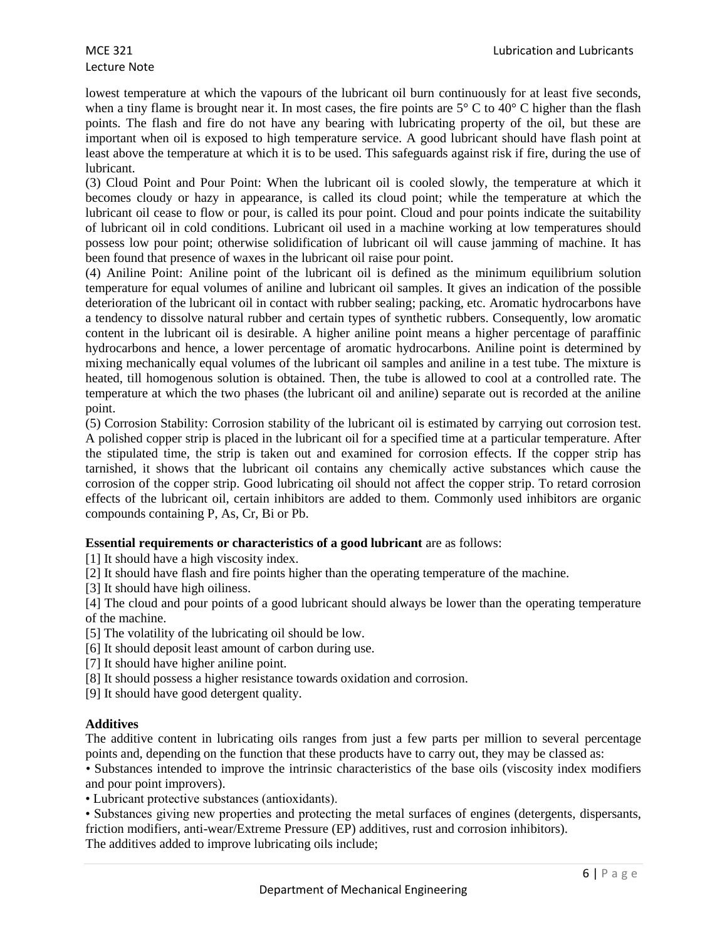lowest temperature at which the vapours of the lubricant oil burn continuously for at least five seconds, when a tiny flame is brought near it. In most cases, the fire points are  $5^{\circ}$  C to  $40^{\circ}$  C higher than the flash points. The flash and fire do not have any bearing with lubricating property of the oil, but these are important when oil is exposed to high temperature service. A good lubricant should have flash point at least above the temperature at which it is to be used. This safeguards against risk if fire, during the use of lubricant.

(3) Cloud Point and Pour Point: When the lubricant oil is cooled slowly, the temperature at which it becomes cloudy or hazy in appearance, is called its cloud point; while the temperature at which the lubricant oil cease to flow or pour, is called its pour point. Cloud and pour points indicate the suitability of lubricant oil in cold conditions. Lubricant oil used in a machine working at low temperatures should possess low pour point; otherwise solidification of lubricant oil will cause jamming of machine. It has been found that presence of waxes in the lubricant oil raise pour point.

(4) Aniline Point: Aniline point of the lubricant oil is defined as the minimum equilibrium solution temperature for equal volumes of aniline and lubricant oil samples. It gives an indication of the possible deterioration of the lubricant oil in contact with rubber sealing; packing, etc. Aromatic hydrocarbons have a tendency to dissolve natural rubber and certain types of synthetic rubbers. Consequently, low aromatic content in the lubricant oil is desirable. A higher aniline point means a higher percentage of paraffinic hydrocarbons and hence, a lower percentage of aromatic hydrocarbons. Aniline point is determined by mixing mechanically equal volumes of the lubricant oil samples and aniline in a test tube. The mixture is heated, till homogenous solution is obtained. Then, the tube is allowed to cool at a controlled rate. The temperature at which the two phases (the lubricant oil and aniline) separate out is recorded at the aniline point.

(5) Corrosion Stability: Corrosion stability of the lubricant oil is estimated by carrying out corrosion test. A polished copper strip is placed in the lubricant oil for a specified time at a particular temperature. After the stipulated time, the strip is taken out and examined for corrosion effects. If the copper strip has tarnished, it shows that the lubricant oil contains any chemically active substances which cause the corrosion of the copper strip. Good lubricating oil should not affect the copper strip. To retard corrosion effects of the lubricant oil, certain inhibitors are added to them. Commonly used inhibitors are organic compounds containing P, As, Cr, Bi or Pb.

# **Essential requirements or characteristics of a good lubricant** are as follows:

[1] It should have a high viscosity index.

[2] It should have flash and fire points higher than the operating temperature of the machine.

[3] It should have high oiliness.

[4] The cloud and pour points of a good lubricant should always be lower than the operating temperature of the machine.

[5] The volatility of the lubricating oil should be low.

[6] It should deposit least amount of carbon during use.

- [7] It should have higher aniline point.
- [8] It should possess a higher resistance towards oxidation and corrosion.
- [9] It should have good detergent quality.

# **Additives**

The additive content in lubricating oils ranges from just a few parts per million to several percentage points and, depending on the function that these products have to carry out, they may be classed as:

*•* Substances intended to improve the intrinsic characteristics of the base oils (viscosity index modifiers and pour point improvers).

• Lubricant protective substances (antioxidants).

• Substances giving new properties and protecting the metal surfaces of engines (detergents, dispersants, friction modifiers, anti-wear/Extreme Pressure (EP) additives, rust and corrosion inhibitors). The additives added to improve lubricating oils include;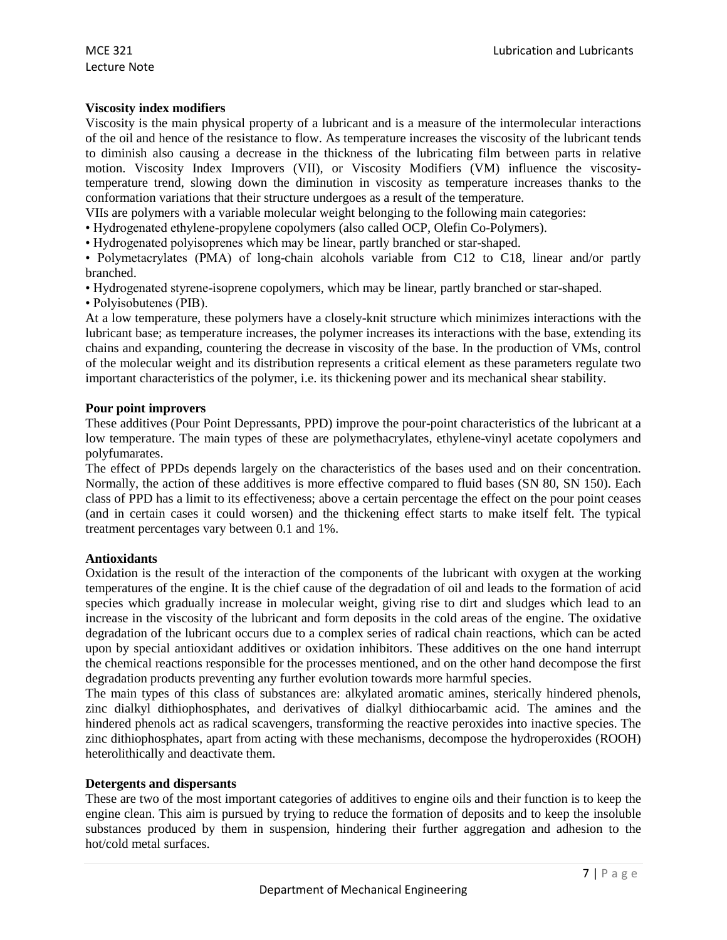# **Viscosity index modifiers**

Viscosity is the main physical property of a lubricant and is a measure of the intermolecular interactions of the oil and hence of the resistance to flow. As temperature increases the viscosity of the lubricant tends to diminish also causing a decrease in the thickness of the lubricating film between parts in relative motion. Viscosity Index Improvers (VII), or Viscosity Modifiers (VM) influence the viscositytemperature trend, slowing down the diminution in viscosity as temperature increases thanks to the conformation variations that their structure undergoes as a result of the temperature.

VIIs are polymers with a variable molecular weight belonging to the following main categories:

• Hydrogenated ethylene-propylene copolymers (also called OCP, Olefin Co-Polymers).

• Hydrogenated polyisoprenes which may be linear, partly branched or star-shaped.

• Polymetacrylates (PMA) of long-chain alcohols variable from C12 to C18, linear and/or partly branched.

• Hydrogenated styrene-isoprene copolymers, which may be linear, partly branched or star-shaped.

• Polyisobutenes (PIB).

At a low temperature, these polymers have a closely-knit structure which minimizes interactions with the lubricant base; as temperature increases, the polymer increases its interactions with the base, extending its chains and expanding, countering the decrease in viscosity of the base. In the production of VMs, control of the molecular weight and its distribution represents a critical element as these parameters regulate two important characteristics of the polymer, i.e. its thickening power and its mechanical shear stability.

#### **Pour point improvers**

These additives (Pour Point Depressants, PPD) improve the pour-point characteristics of the lubricant at a low temperature. The main types of these are polymethacrylates, ethylene-vinyl acetate copolymers and polyfumarates.

The effect of PPDs depends largely on the characteristics of the bases used and on their concentration. Normally, the action of these additives is more effective compared to fluid bases (SN 80, SN 150). Each class of PPD has a limit to its effectiveness; above a certain percentage the effect on the pour point ceases (and in certain cases it could worsen) and the thickening effect starts to make itself felt. The typical treatment percentages vary between 0.1 and 1%.

# **Antioxidants**

Oxidation is the result of the interaction of the components of the lubricant with oxygen at the working temperatures of the engine. It is the chief cause of the degradation of oil and leads to the formation of acid species which gradually increase in molecular weight, giving rise to dirt and sludges which lead to an increase in the viscosity of the lubricant and form deposits in the cold areas of the engine. The oxidative degradation of the lubricant occurs due to a complex series of radical chain reactions, which can be acted upon by special antioxidant additives or oxidation inhibitors. These additives on the one hand interrupt the chemical reactions responsible for the processes mentioned, and on the other hand decompose the first degradation products preventing any further evolution towards more harmful species.

The main types of this class of substances are: alkylated aromatic amines, sterically hindered phenols, zinc dialkyl dithiophosphates, and derivatives of dialkyl dithiocarbamic acid. The amines and the hindered phenols act as radical scavengers, transforming the reactive peroxides into inactive species. The zinc dithiophosphates, apart from acting with these mechanisms, decompose the hydroperoxides (ROOH) heterolithically and deactivate them.

# **Detergents and dispersants**

These are two of the most important categories of additives to engine oils and their function is to keep the engine clean. This aim is pursued by trying to reduce the formation of deposits and to keep the insoluble substances produced by them in suspension, hindering their further aggregation and adhesion to the hot/cold metal surfaces.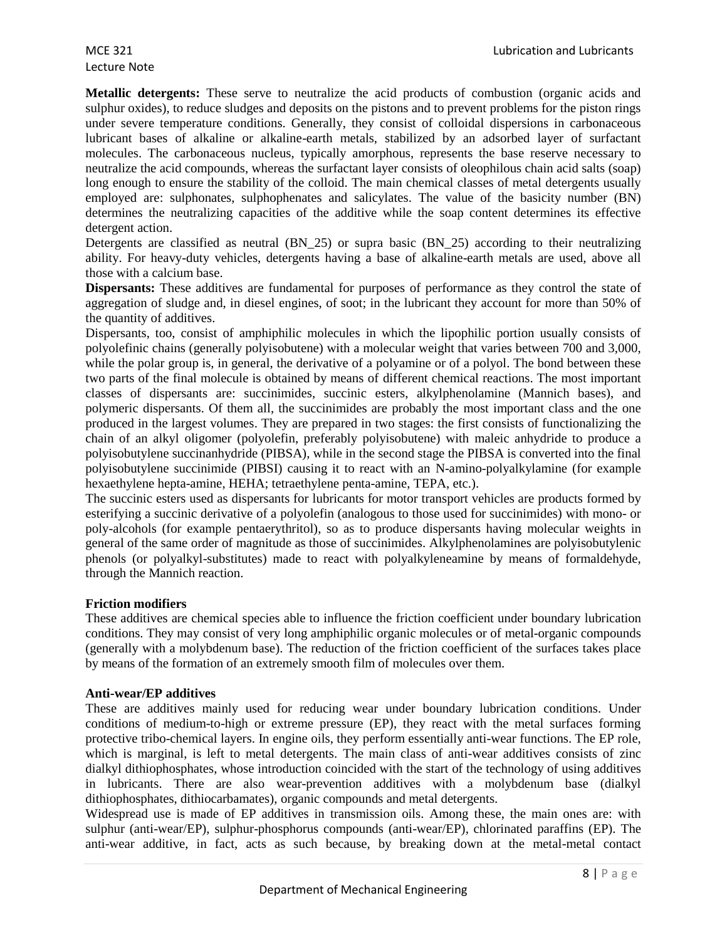**Metallic detergents:** These serve to neutralize the acid products of combustion (organic acids and sulphur oxides), to reduce sludges and deposits on the pistons and to prevent problems for the piston rings under severe temperature conditions. Generally, they consist of colloidal dispersions in carbonaceous lubricant bases of alkaline or alkaline-earth metals, stabilized by an adsorbed layer of surfactant molecules. The carbonaceous nucleus, typically amorphous, represents the base reserve necessary to neutralize the acid compounds, whereas the surfactant layer consists of oleophilous chain acid salts (soap) long enough to ensure the stability of the colloid. The main chemical classes of metal detergents usually employed are: sulphonates, sulphophenates and salicylates. The value of the basicity number (BN) determines the neutralizing capacities of the additive while the soap content determines its effective detergent action.

Detergents are classified as neutral (BN 25) or supra basic (BN 25) according to their neutralizing ability. For heavy-duty vehicles, detergents having a base of alkaline-earth metals are used, above all those with a calcium base.

**Dispersants:** These additives are fundamental for purposes of performance as they control the state of aggregation of sludge and, in diesel engines, of soot; in the lubricant they account for more than 50% of the quantity of additives.

Dispersants, too, consist of amphiphilic molecules in which the lipophilic portion usually consists of polyolefinic chains (generally polyisobutene) with a molecular weight that varies between 700 and 3,000, while the polar group is, in general, the derivative of a polyamine or of a polyol. The bond between these two parts of the final molecule is obtained by means of different chemical reactions. The most important classes of dispersants are: succinimides, succinic esters, alkylphenolamine (Mannich bases), and polymeric dispersants. Of them all, the succinimides are probably the most important class and the one produced in the largest volumes. They are prepared in two stages: the first consists of functionalizing the chain of an alkyl oligomer (polyolefin, preferably polyisobutene) with maleic anhydride to produce a polyisobutylene succinanhydride (PIBSA), while in the second stage the PIBSA is converted into the final polyisobutylene succinimide (PIBSI) causing it to react with an N-amino-polyalkylamine (for example hexaethylene hepta-amine, HEHA; tetraethylene penta-amine, TEPA, etc.).

The succinic esters used as dispersants for lubricants for motor transport vehicles are products formed by esterifying a succinic derivative of a polyolefin (analogous to those used for succinimides) with mono- or poly-alcohols (for example pentaerythritol), so as to produce dispersants having molecular weights in general of the same order of magnitude as those of succinimides. Alkylphenolamines are polyisobutylenic phenols (or polyalkyl-substitutes) made to react with polyalkyleneamine by means of formaldehyde, through the Mannich reaction.

# **Friction modifiers**

Lecture Note

These additives are chemical species able to influence the friction coefficient under boundary lubrication conditions. They may consist of very long amphiphilic organic molecules or of metal-organic compounds (generally with a molybdenum base). The reduction of the friction coefficient of the surfaces takes place by means of the formation of an extremely smooth film of molecules over them.

# **Anti-wear/EP additives**

These are additives mainly used for reducing wear under boundary lubrication conditions. Under conditions of medium-to-high or extreme pressure (EP), they react with the metal surfaces forming protective tribo-chemical layers. In engine oils, they perform essentially anti-wear functions. The EP role, which is marginal, is left to metal detergents. The main class of anti-wear additives consists of zinc dialkyl dithiophosphates, whose introduction coincided with the start of the technology of using additives in lubricants. There are also wear-prevention additives with a molybdenum base (dialkyl dithiophosphates, dithiocarbamates), organic compounds and metal detergents.

Widespread use is made of EP additives in transmission oils. Among these, the main ones are: with sulphur (anti-wear/EP), sulphur-phosphorus compounds (anti-wear/EP), chlorinated paraffins (EP). The anti-wear additive, in fact, acts as such because, by breaking down at the metal-metal contact